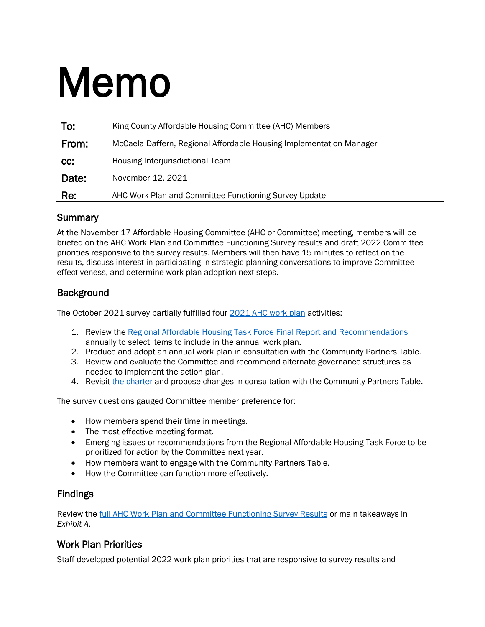# Memo

| To:   | King County Affordable Housing Committee (AHC) Members              |
|-------|---------------------------------------------------------------------|
| From: | McCaela Daffern, Regional Affordable Housing Implementation Manager |
| CC:   | Housing Interjurisdictional Team                                    |
| Date: | November 12, 2021                                                   |
| Re:   | AHC Work Plan and Committee Functioning Survey Update               |

### **Summary**

At the November 17 Affordable Housing Committee (AHC or Committee) meeting, members will be briefed on the AHC Work Plan and Committee Functioning Survey results and draft 2022 Committee priorities responsive to the survey results. Members will then have 15 minutes to reflect on the results, discuss interest in participating in strategic planning conversations to improve Committee effectiveness, and determine work plan adoption next steps.

# **Background**

The October 2021 survey partially fulfilled four [2021 AHC work plan](https://kingcounty.gov/%7E/media/depts/community-human-services/housing-homelessness-community-development/documents/affordable-housing-committee/2021_AHCWorkPlanFinal.ashx?la=en) activities:

- 1. Review the [Regional Affordable Housing Task Force Final Report and Recommendations](https://kingcounty.gov/depts/community-human-services/housing/%7E/media/depts/community-human-services/housing-homelessness-community-development/documents/affordable-housing-committee/RAH_Report_Print_File_Updated_10,-d-,28,-d-,19.ashx?la=en) annually to select items to include in the annual work plan.
- 2. Produce and adopt an annual work plan in consultation with the Community Partners Table.
- 3. Review and evaluate the Committee and recommend alternate governance structures as needed to implement the action plan.
- 4. Revisit [the charter](https://kingcounty.gov/depts/community-human-services/housing/%7E/media/depts/community-human-services/housing-homelessness-community-development/documents/affordable-housing-committee/AHC_Charter_2021,-d-,04.ashx?la=en) and propose changes in consultation with the Community Partners Table.

The survey questions gauged Committee member preference for:

- How members spend their time in meetings.
- The most effective meeting format.
- Emerging issues or recommendations from the Regional Affordable Housing Task Force to be prioritized for action by the Committee next year.
- How members want to engage with the Community Partners Table.
- How the Committee can function more effectively.

## Findings

Review the [full AHC Work Plan and Committee Functioning Survey Results](https://gcc02.safelinks.protection.outlook.com/?url=https%3A%2F%2Fwww.surveymonkey.com%2Fresults%2FSM-GM68DB829%2F&data=04%7C01%7Cmarias%40kingcounty.gov%7Ce91697eb9f864cc1e63108d99a6e17d7%7Cbae5059a76f049d7999672dfe95d69c7%7C0%7C0%7C637710619898659126%7CUnknown%7CTWFpbGZsb3d8eyJWIjoiMC4wLjAwMDAiLCJQIjoiV2luMzIiLCJBTiI6Ik1haWwiLCJXVCI6Mn0%3D%7C1000&sdata=mev42QMDlhIjdbrvasIN7UiZi2vXlAxdZbX0N6YELCU%3D&reserved=0) or main takeaways in *Exhibit A*.

# Work Plan Priorities

Staff developed potential 2022 work plan priorities that are responsive to survey results and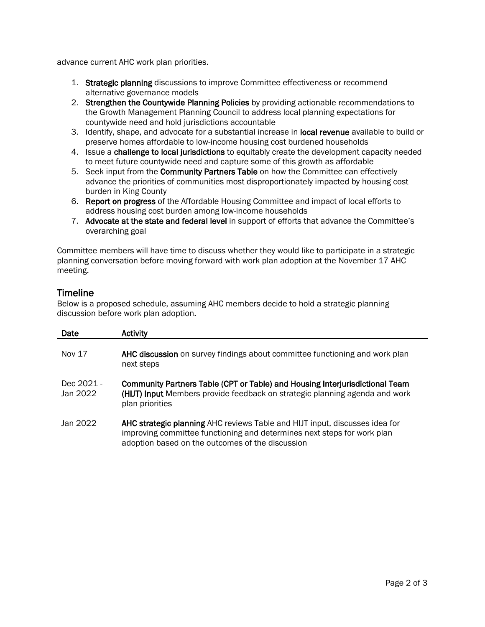advance current AHC work plan priorities.

- 1. Strategic planning discussions to improve Committee effectiveness or recommend alternative governance models
- 2. Strengthen the Countywide Planning Policies by providing actionable recommendations to the Growth Management Planning Council to address local planning expectations for countywide need and hold jurisdictions accountable
- 3. Identify, shape, and advocate for a substantial increase in **local revenue** available to build or preserve homes affordable to low-income housing cost burdened households
- 4. Issue a challenge to local jurisdictions to equitably create the development capacity needed to meet future countywide need and capture some of this growth as affordable
- 5. Seek input from the Community Partners Table on how the Committee can effectively advance the priorities of communities most disproportionately impacted by housing cost burden in King County
- 6. Report on progress of the Affordable Housing Committee and impact of local efforts to address housing cost burden among low-income households
- 7. Advocate at the state and federal level in support of efforts that advance the Committee's overarching goal

Committee members will have time to discuss whether they would like to participate in a strategic planning conversation before moving forward with work plan adoption at the November 17 AHC meeting.

**Timeline**<br>Below is a proposed schedule, assuming AHC members decide to hold a strategic planning discussion before work plan adoption.

| Date                   | <b>Activity</b>                                                                                                                                                                                            |
|------------------------|------------------------------------------------------------------------------------------------------------------------------------------------------------------------------------------------------------|
| <b>Nov 17</b>          | AHC discussion on survey findings about committee functioning and work plan<br>next steps                                                                                                                  |
| Dec 2021 -<br>Jan 2022 | Community Partners Table (CPT or Table) and Housing Interjurisdictional Team<br>(HIJT) Input Members provide feedback on strategic planning agenda and work<br>plan priorities                             |
| Jan 2022               | AHC strategic planning AHC reviews Table and HIJT input, discusses idea for<br>improving committee functioning and determines next steps for work plan<br>adoption based on the outcomes of the discussion |